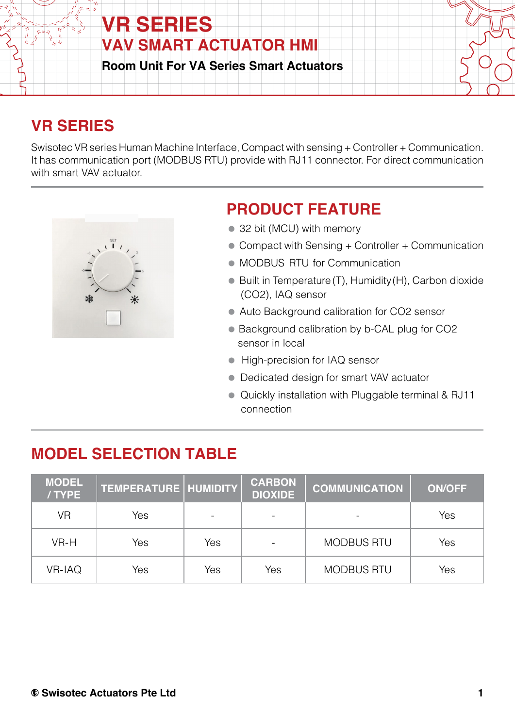

## **VR SERIES**

Swisotec VR series Human Machine Interface, Compact with sensing + Controller + Communication. It has communication port (MODBUS RTU) provide with RJ11 connector. For direct communication with smart VAV actuator.



### **PRODUCT FEATURE**

- 32 bit (MCU) with memory
- Compact with Sensing + Controller + Communication
- $\bullet$  MODBUS RTU for Communication
- Built in Temperature (T), Humidity (H), Carbon dioxide (CO2), IAQ sensor
- Auto Background calibration for CO2 sensor
- Background calibration by b-CAL plug for CO2 sensor in local
- **High-precision for IAQ sensor**
- Dedicated design for smart VAV actuator
- Quickly installation with Pluggable terminal & RJ11 connection

## **MODEL SELECTION TABLE**

| <b>MODEL</b><br>/TYPE | TEMPERATURE   HUMIDITY |     | <b>CARBON</b><br><b>DIOXIDE</b> | <b>COMMUNICATION</b> | <b>ON/OFF</b> |
|-----------------------|------------------------|-----|---------------------------------|----------------------|---------------|
| VR                    | Yes                    |     |                                 |                      | Yes           |
| VR-H                  | Yes                    | Yes |                                 | <b>MODBUS RTU</b>    | Yes           |
| <b>VR-IAQ</b>         | Yes                    | Yes | Yes                             | <b>MODBUS RTU</b>    | Yes           |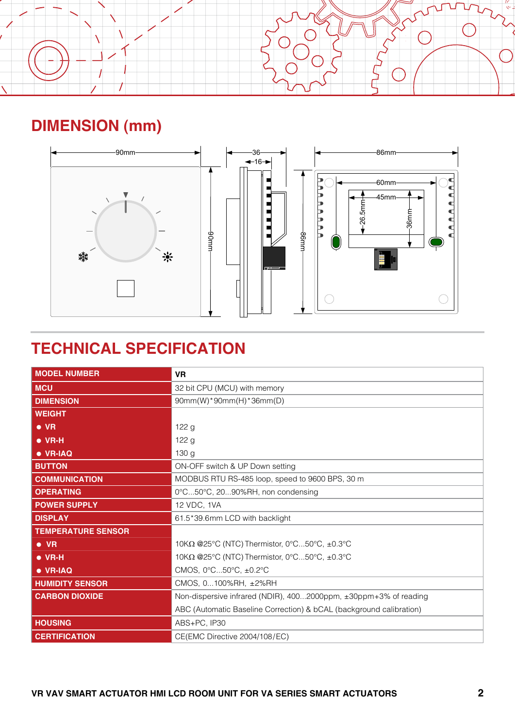

# **DIMENSION (mm)**



# **TECHNICAL SPECIFICATION**

| <b>MODEL NUMBER</b>       | <b>VR</b>                                                           |  |  |  |
|---------------------------|---------------------------------------------------------------------|--|--|--|
| <b>MCU</b>                | 32 bit CPU (MCU) with memory                                        |  |  |  |
| <b>DIMENSION</b>          | 90mm(W)*90mm(H)*36mm(D)                                             |  |  |  |
| <b>WEIGHT</b>             |                                                                     |  |  |  |
| $\bullet$ VR              | 122 g                                                               |  |  |  |
| $\bullet$ VR-H            | 122 g                                                               |  |  |  |
| $\bullet$ VR-IAQ          | 130 <sub>g</sub>                                                    |  |  |  |
| <b>BUTTON</b>             | ON-OFF switch & UP Down setting                                     |  |  |  |
| <b>COMMUNICATION</b>      | MODBUS RTU RS-485 loop, speed to 9600 BPS, 30 m                     |  |  |  |
| <b>OPERATING</b>          | 0°C50°C, 2090%RH, non condensing                                    |  |  |  |
| <b>POWER SUPPLY</b>       | 12 VDC, 1VA                                                         |  |  |  |
| <b>DISPLAY</b>            | 61.5*39.6mm LCD with backlight                                      |  |  |  |
| <b>TEMPERATURE SENSOR</b> |                                                                     |  |  |  |
| $\bullet$ VR              | 10KΩ @25°C (NTC) Thermistor, 0°C50°C, ±0.3°C                        |  |  |  |
| $\bullet$ VR-H            | 10KΩ @25°C (NTC) Thermistor, 0°C50°C, ±0.3°C                        |  |  |  |
| $\bullet$ VR-IAQ          | CMOS, 0°C50°C, ±0.2°C                                               |  |  |  |
| <b>HUMIDITY SENSOR</b>    | CMOS, 0100%RH, ±2%RH                                                |  |  |  |
| <b>CARBON DIOXIDE</b>     | Non-dispersive infrared (NDIR), 4002000ppm, ±30ppm+3% of reading    |  |  |  |
|                           | ABC (Automatic Baseline Correction) & bCAL (background calibration) |  |  |  |
| <b>HOUSING</b>            | ABS+PC, IP30                                                        |  |  |  |
| <b>CERTIFICATION</b>      | CE(EMC Directive 2004/108/EC)                                       |  |  |  |